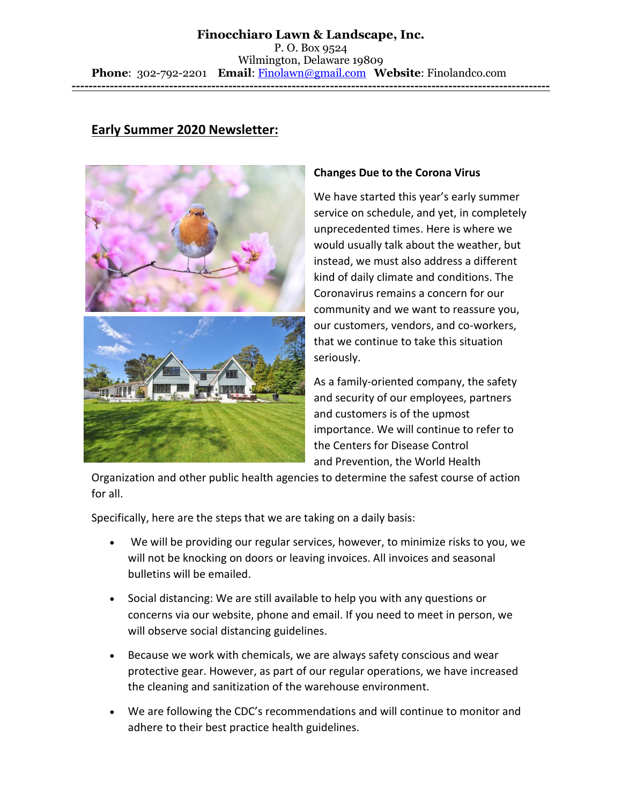## **Finocchiaro Lawn & Landscape, Inc.** P. O. Box 9524 Wilmington, Delaware 19809 **Phone**: 302-792-2201 **Email**[: Finolawn@gmail.com](mailto:Finolawn@gmail.com) **Website**: Finolandco.com **-----------------------------------------------------------------------------------------------------------------**

## **Early Summer 2020 Newsletter:**



## **Changes Due to the Corona Virus**

We have started this year's early summer service on schedule, and yet, in completely unprecedented times. Here is where we would usually talk about the weather, but instead, we must also address a different kind of daily climate and conditions. The Coronavirus remains a concern for our community and we want to reassure you, our customers, vendors, and co-workers, that we continue to take this situation seriously.

As a family-oriented company, the safety and security of our employees, partners and customers is of the upmost importance. We will continue to refer to the Centers for Disease Control and Prevention, the World Health

Organization and other public health agencies to determine the safest course of action for all.

Specifically, here are the steps that we are taking on a daily basis:

- We will be providing our regular services, however, to minimize risks to you, we will not be knocking on doors or leaving invoices. All invoices and seasonal bulletins will be emailed.
- Social distancing: We are still available to help you with any questions or concerns via our website, phone and email. If you need to meet in person, we will observe social distancing guidelines.
- Because we work with chemicals, we are always safety conscious and wear protective gear. However, as part of our regular operations, we have increased the cleaning and sanitization of the warehouse environment.
- We are following the CDC's recommendations and will continue to monitor and adhere to their best practice health guidelines.